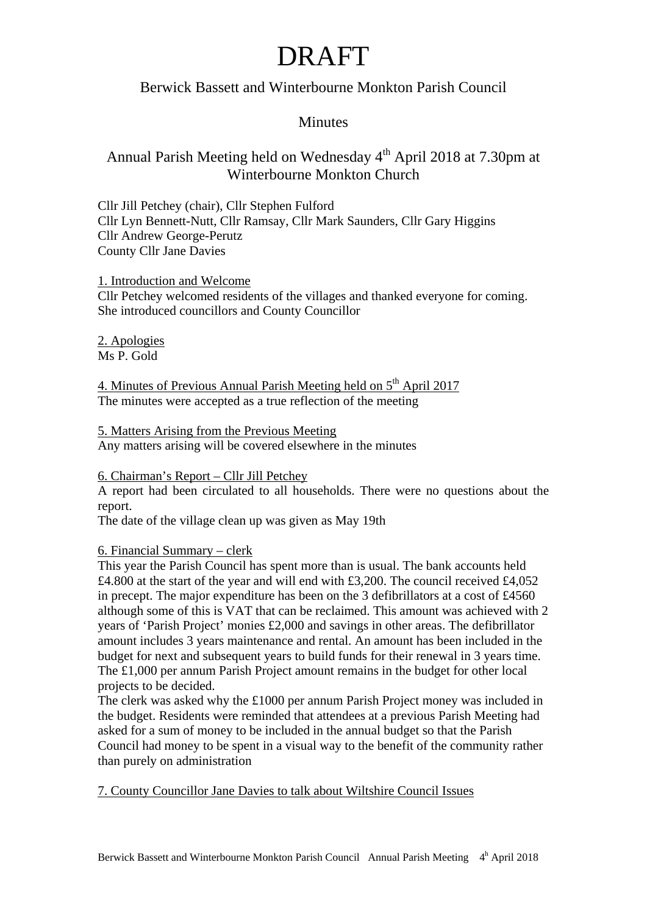### Berwick Bassett and Winterbourne Monkton Parish Council

### **Minutes**

### Annual Parish Meeting held on Wednesday 4<sup>th</sup> April 2018 at 7.30pm at Winterbourne Monkton Church

Cllr Jill Petchey (chair), Cllr Stephen Fulford Cllr Lyn Bennett-Nutt, Cllr Ramsay, Cllr Mark Saunders, Cllr Gary Higgins Cllr Andrew George-Perutz County Cllr Jane Davies

1. Introduction and Welcome Cllr Petchey welcomed residents of the villages and thanked everyone for coming. She introduced councillors and County Councillor

2. Apologies Ms P. Gold

4. Minutes of Previous Annual Parish Meeting held on  $5<sup>th</sup>$  April 2017 The minutes were accepted as a true reflection of the meeting

5. Matters Arising from the Previous Meeting Any matters arising will be covered elsewhere in the minutes

#### 6. Chairman's Report – Cllr Jill Petchey

A report had been circulated to all households. There were no questions about the report.

The date of the village clean up was given as May 19th

#### 6. Financial Summary – clerk

This year the Parish Council has spent more than is usual. The bank accounts held £4.800 at the start of the year and will end with £3,200. The council received £4,052 in precept. The major expenditure has been on the 3 defibrillators at a cost of £4560 although some of this is VAT that can be reclaimed. This amount was achieved with 2 years of 'Parish Project' monies £2,000 and savings in other areas. The defibrillator amount includes 3 years maintenance and rental. An amount has been included in the budget for next and subsequent years to build funds for their renewal in 3 years time. The £1,000 per annum Parish Project amount remains in the budget for other local projects to be decided.

The clerk was asked why the £1000 per annum Parish Project money was included in the budget. Residents were reminded that attendees at a previous Parish Meeting had asked for a sum of money to be included in the annual budget so that the Parish Council had money to be spent in a visual way to the benefit of the community rather than purely on administration

7. County Councillor Jane Davies to talk about Wiltshire Council Issues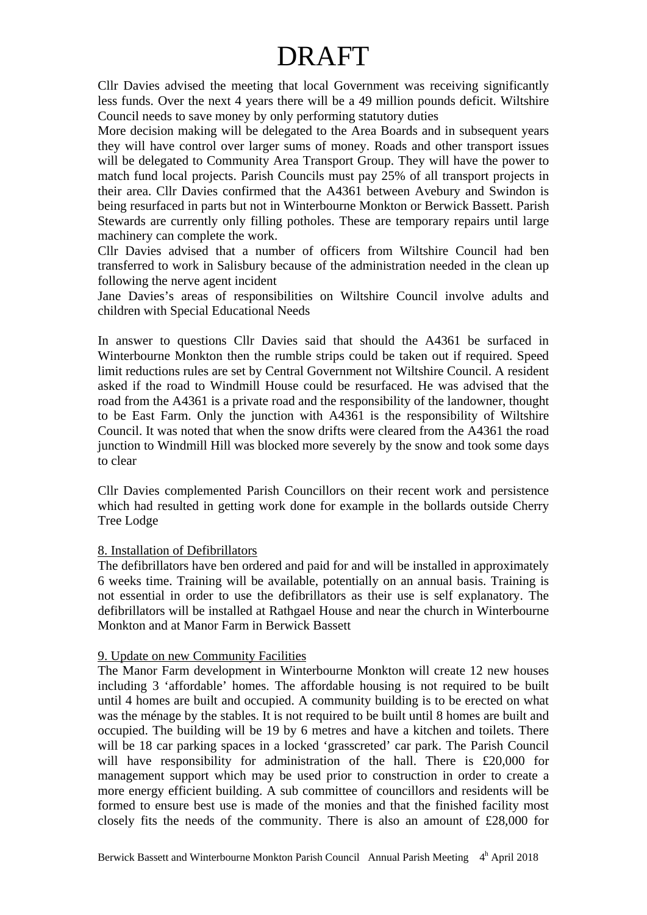Cllr Davies advised the meeting that local Government was receiving significantly less funds. Over the next 4 years there will be a 49 million pounds deficit. Wiltshire Council needs to save money by only performing statutory duties

More decision making will be delegated to the Area Boards and in subsequent years they will have control over larger sums of money. Roads and other transport issues will be delegated to Community Area Transport Group. They will have the power to match fund local projects. Parish Councils must pay 25% of all transport projects in their area. Cllr Davies confirmed that the A4361 between Avebury and Swindon is being resurfaced in parts but not in Winterbourne Monkton or Berwick Bassett. Parish Stewards are currently only filling potholes. These are temporary repairs until large machinery can complete the work.

Cllr Davies advised that a number of officers from Wiltshire Council had ben transferred to work in Salisbury because of the administration needed in the clean up following the nerve agent incident

Jane Davies's areas of responsibilities on Wiltshire Council involve adults and children with Special Educational Needs

In answer to questions Cllr Davies said that should the A4361 be surfaced in Winterbourne Monkton then the rumble strips could be taken out if required. Speed limit reductions rules are set by Central Government not Wiltshire Council. A resident asked if the road to Windmill House could be resurfaced. He was advised that the road from the A4361 is a private road and the responsibility of the landowner, thought to be East Farm. Only the junction with A4361 is the responsibility of Wiltshire Council. It was noted that when the snow drifts were cleared from the A4361 the road junction to Windmill Hill was blocked more severely by the snow and took some days to clear

Cllr Davies complemented Parish Councillors on their recent work and persistence which had resulted in getting work done for example in the bollards outside Cherry Tree Lodge

#### 8. Installation of Defibrillators

The defibrillators have ben ordered and paid for and will be installed in approximately 6 weeks time. Training will be available, potentially on an annual basis. Training is not essential in order to use the defibrillators as their use is self explanatory. The defibrillators will be installed at Rathgael House and near the church in Winterbourne Monkton and at Manor Farm in Berwick Bassett

#### 9. Update on new Community Facilities

The Manor Farm development in Winterbourne Monkton will create 12 new houses including 3 'affordable' homes. The affordable housing is not required to be built until 4 homes are built and occupied. A community building is to be erected on what was the ménage by the stables. It is not required to be built until 8 homes are built and occupied. The building will be 19 by 6 metres and have a kitchen and toilets. There will be 18 car parking spaces in a locked 'grasscreted' car park. The Parish Council will have responsibility for administration of the hall. There is £20,000 for management support which may be used prior to construction in order to create a more energy efficient building. A sub committee of councillors and residents will be formed to ensure best use is made of the monies and that the finished facility most closely fits the needs of the community. There is also an amount of £28,000 for